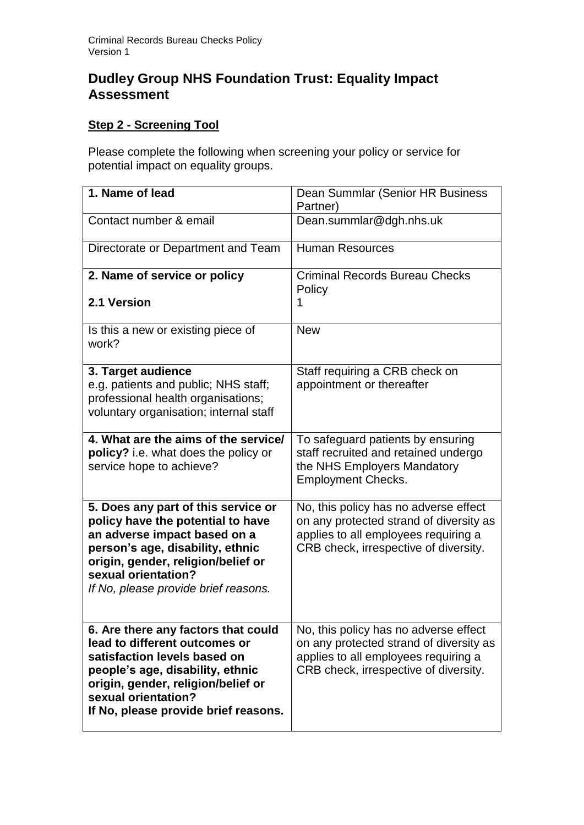# **Dudley Group NHS Foundation Trust: Equality Impact Assessment**

## **Step 2 - Screening Tool**

Please complete the following when screening your policy or service for potential impact on equality groups.

| 1. Name of lead                                                                                                                                                                                                                                   | Dean Summlar (Senior HR Business<br>Partner)                                                                                                                      |
|---------------------------------------------------------------------------------------------------------------------------------------------------------------------------------------------------------------------------------------------------|-------------------------------------------------------------------------------------------------------------------------------------------------------------------|
| Contact number & email                                                                                                                                                                                                                            | Dean.summlar@dgh.nhs.uk                                                                                                                                           |
| Directorate or Department and Team                                                                                                                                                                                                                | <b>Human Resources</b>                                                                                                                                            |
| 2. Name of service or policy                                                                                                                                                                                                                      | <b>Criminal Records Bureau Checks</b><br>Policy                                                                                                                   |
| 2.1 Version                                                                                                                                                                                                                                       | 1                                                                                                                                                                 |
| Is this a new or existing piece of<br>work?                                                                                                                                                                                                       | <b>New</b>                                                                                                                                                        |
| 3. Target audience<br>e.g. patients and public; NHS staff;<br>professional health organisations;<br>voluntary organisation; internal staff                                                                                                        | Staff requiring a CRB check on<br>appointment or thereafter                                                                                                       |
| 4. What are the aims of the service/<br>policy? i.e. what does the policy or<br>service hope to achieve?                                                                                                                                          | To safeguard patients by ensuring<br>staff recruited and retained undergo<br>the NHS Employers Mandatory<br><b>Employment Checks.</b>                             |
| 5. Does any part of this service or<br>policy have the potential to have<br>an adverse impact based on a<br>person's age, disability, ethnic<br>origin, gender, religion/belief or<br>sexual orientation?<br>If No, please provide brief reasons. | No, this policy has no adverse effect<br>on any protected strand of diversity as<br>applies to all employees requiring a<br>CRB check, irrespective of diversity. |
| 6. Are there any factors that could<br>lead to different outcomes or<br>satisfaction levels based on<br>people's age, disability, ethnic<br>origin, gender, religion/belief or<br>sexual orientation?<br>If No, please provide brief reasons.     | No, this policy has no adverse effect<br>on any protected strand of diversity as<br>applies to all employees requiring a<br>CRB check, irrespective of diversity. |